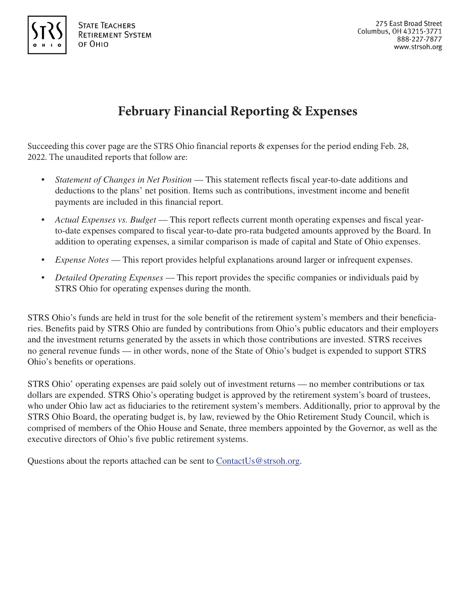

# **February Financial Reporting & Expenses**

Succeeding this cover page are the STRS Ohio financial reports & expenses for the period ending Feb. 28, 2022. The unaudited reports that follow are:

- *Statement of Changes in Net Position* This statement reflects fiscal year-to-date additions and deductions to the plans' net position. Items such as contributions, investment income and benefit payments are included in this financial report.
- *Actual Expenses vs. Budget*  This report reflects current month operating expenses and fiscal yearto-date expenses compared to fiscal year-to-date pro-rata budgeted amounts approved by the Board. In addition to operating expenses, a similar comparison is made of capital and State of Ohio expenses.
- *Expense Notes* This report provides helpful explanations around larger or infrequent expenses.
- *Detailed Operating Expenses*  This report provides the specific companies or individuals paid by STRS Ohio for operating expenses during the month.

STRS Ohio's funds are held in trust for the sole benefit of the retirement system's members and their beneficiaries. Benefits paid by STRS Ohio are funded by contributions from Ohio's public educators and their employers and the investment returns generated by the assets in which those contributions are invested. STRS receives no general revenue funds — in other words, none of the State of Ohio's budget is expended to support STRS Ohio's benefits or operations.

STRS Ohio' operating expenses are paid solely out of investment returns — no member contributions or tax dollars are expended. STRS Ohio's operating budget is approved by the retirement system's board of trustees, who under Ohio law act as fiduciaries to the retirement system's members. Additionally, prior to approval by the STRS Ohio Board, the operating budget is, by law, reviewed by the Ohio Retirement Study Council, which is comprised of members of the Ohio House and Senate, three members appointed by the Governor, as well as the executive directors of Ohio's five public retirement systems.

Questions about the reports attached can be sent to  $\text{ContextUs@strsoh.org.}$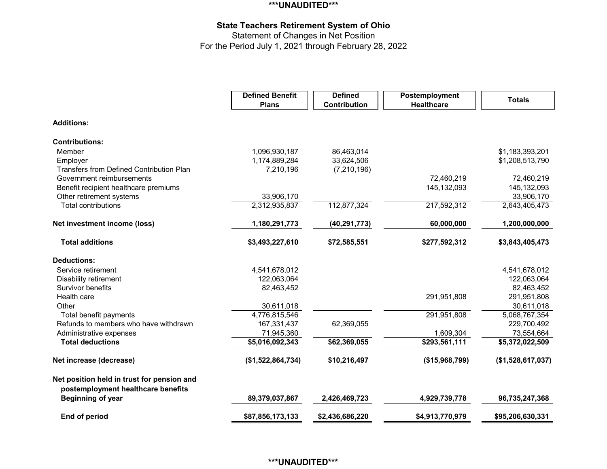## **\*\*\*UNAUDITED\*\*\***

# **State Teachers Retirement System of Ohio**

Statement of Changes in Net Position For the Period July 1, 2021 through February 28, 2022

|                                                 | <b>Defined Benefit</b><br><b>Plans</b> | <b>Defined</b><br>Contribution | Postemployment<br><b>Healthcare</b> | <b>Totals</b>     |
|-------------------------------------------------|----------------------------------------|--------------------------------|-------------------------------------|-------------------|
| <b>Additions:</b>                               |                                        |                                |                                     |                   |
| <b>Contributions:</b>                           |                                        |                                |                                     |                   |
| Member                                          | 1,096,930,187                          | 86,463,014                     |                                     | \$1,183,393,201   |
| Employer                                        | 1,174,889,284                          | 33,624,506                     |                                     | \$1,208,513,790   |
| <b>Transfers from Defined Contribution Plan</b> | 7,210,196                              | (7, 210, 196)                  |                                     |                   |
| Government reimbursements                       |                                        |                                | 72,460,219                          | 72,460,219        |
| Benefit recipient healthcare premiums           |                                        |                                | 145,132,093                         | 145,132,093       |
| Other retirement systems                        | 33,906,170                             |                                |                                     | 33,906,170        |
| <b>Total contributions</b>                      | 2,312,935,837                          | 112,877,324                    | 217,592,312                         | 2,643,405,473     |
| Net investment income (loss)                    | 1,180,291,773                          | (40, 291, 773)                 | 60,000,000                          | 1,200,000,000     |
| <b>Total additions</b>                          | \$3,493,227,610                        | \$72,585,551                   | \$277,592,312                       | \$3,843,405,473   |
| <b>Deductions:</b>                              |                                        |                                |                                     |                   |
| Service retirement                              | 4,541,678,012                          |                                |                                     | 4,541,678,012     |
| Disability retirement                           | 122,063,064                            |                                |                                     | 122,063,064       |
| Survivor benefits                               | 82,463,452                             |                                |                                     | 82,463,452        |
| Health care                                     |                                        |                                | 291,951,808                         | 291,951,808       |
| Other                                           | 30,611,018                             |                                |                                     | 30,611,018        |
| Total benefit payments                          | 4,776,815,546                          |                                | 291,951,808                         | 5,068,767,354     |
| Refunds to members who have withdrawn           | 167,331,437                            | 62,369,055                     |                                     | 229,700,492       |
| Administrative expenses                         | 71,945,360                             |                                | 1,609,304                           | 73,554,664        |
| <b>Total deductions</b>                         | \$5,016,092,343                        | \$62,369,055                   | \$293,561,111                       | \$5,372,022,509   |
| Net increase (decrease)                         | (\$1,522,864,734)                      | \$10,216,497                   | ( \$15,968,799)                     | (\$1,528,617,037) |
| Net position held in trust for pension and      |                                        |                                |                                     |                   |
| postemployment healthcare benefits              |                                        |                                |                                     |                   |
| <b>Beginning of year</b>                        | 89,379,037,867                         | 2,426,469,723                  | 4,929,739,778                       | 96,735,247,368    |
| End of period                                   | \$87,856,173,133                       | \$2,436,686,220                | \$4,913,770,979                     | \$95,206,630,331  |

# **\*\*\*UNAUDITED\*\*\***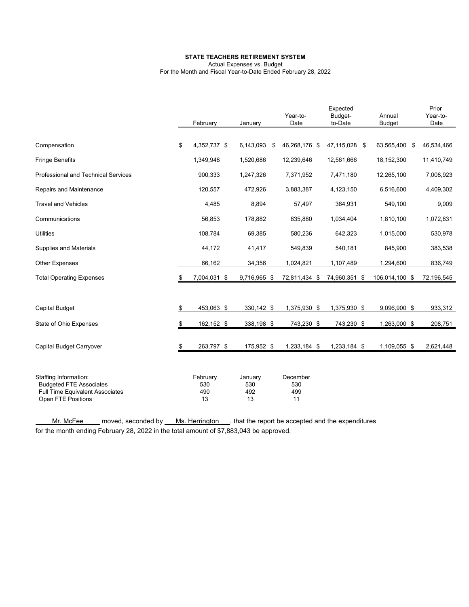#### **STATE TEACHERS RETIREMENT SYSTEM**

Actual Expenses vs. Budget For the Month and Fiscal Year-to-Date Ended February 28, 2022

|                                                                                                                         | February                     | January                     | Year-to-<br>Date             | Expected<br>Budget-<br>to-Date | Annual<br><b>Budget</b> | Prior<br>Year-to-<br>Date |
|-------------------------------------------------------------------------------------------------------------------------|------------------------------|-----------------------------|------------------------------|--------------------------------|-------------------------|---------------------------|
| Compensation                                                                                                            | \$<br>4,352,737 \$           | 6,143,093                   | \$<br>46,268,176 \$          | 47,115,028 \$                  | 63,565,400              | \$<br>46,534,466          |
| <b>Fringe Benefits</b>                                                                                                  | 1,349,948                    | 1,520,686                   | 12,239,646                   | 12,561,666                     | 18,152,300              | 11,410,749                |
| Professional and Technical Services                                                                                     | 900,333                      | 1,247,326                   | 7,371,952                    | 7,471,180                      | 12,265,100              | 7,008,923                 |
| Repairs and Maintenance                                                                                                 | 120,557                      | 472,926                     | 3,883,387                    | 4,123,150                      | 6,516,600               | 4,409,302                 |
| <b>Travel and Vehicles</b>                                                                                              | 4,485                        | 8,894                       | 57,497                       | 364,931                        | 549,100                 | 9,009                     |
| Communications                                                                                                          | 56,853                       | 178,882                     | 835,880                      | 1,034,404                      | 1,810,100               | 1,072,831                 |
| <b>Utilities</b>                                                                                                        | 108,784                      | 69,385                      | 580,236                      | 642,323                        | 1,015,000               | 530,978                   |
| <b>Supplies and Materials</b>                                                                                           | 44,172                       | 41,417                      | 549,839                      | 540,181                        | 845,900                 | 383,538                   |
| <b>Other Expenses</b>                                                                                                   | 66,162                       | 34,356                      | 1,024,821                    | 1,107,489                      | 1,294,600               | 836,749                   |
| <b>Total Operating Expenses</b>                                                                                         | 7,004,031 \$                 | 9,716,965 \$                | 72,811,434 \$                | 74,960,351 \$                  | 106,014,100 \$          | 72,196,545                |
|                                                                                                                         |                              |                             |                              |                                |                         |                           |
| <b>Capital Budget</b>                                                                                                   | \$<br>453,063 \$             | 330,142 \$                  | 1,375,930 \$                 | 1,375,930 \$                   | 9,096,900 \$            | 933,312                   |
| State of Ohio Expenses                                                                                                  | \$<br>162,152 \$             | 338,198 \$                  | 743,230 \$                   | 743,230 \$                     | 1,263,000 \$            | 208,751                   |
|                                                                                                                         |                              |                             |                              |                                |                         |                           |
| Capital Budget Carryover                                                                                                | \$<br>263,797 \$             | 175,952 \$                  | 1,233,184 \$                 | 1,233,184 \$                   | 1,109,055 \$            | 2,621,448                 |
| Staffing Information:<br><b>Budgeted FTE Associates</b><br><b>Full Time Equivalent Associates</b><br>Open FTE Positions | February<br>530<br>490<br>13 | January<br>530<br>492<br>13 | December<br>530<br>499<br>11 |                                |                         |                           |

Mr. McFee moved, seconded by Ms. Herrington, that the report be accepted and the expenditures for the month ending February 28, 2022 in the total amount of \$7,883,043 be approved.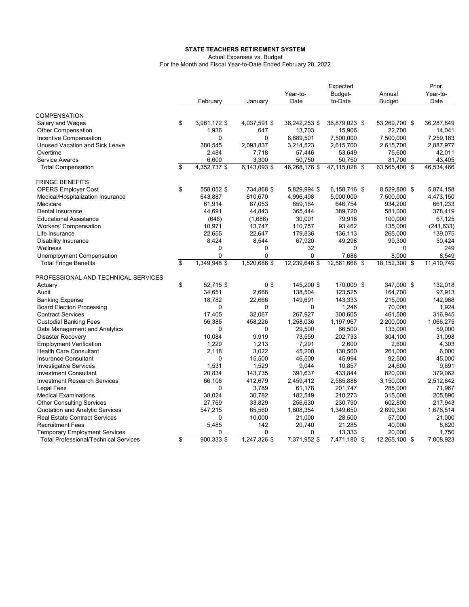#### **STATE TEACHERS RETIREMENT SYSTEM**

Actual Expenses vs. Budget

For the Month and Fiscal Year-to-Date Ended February 28, 2022

|                                              | February           | January        | Year-to-<br>Date | Expected<br>Budget-<br>to-Date | Annual<br><b>Budget</b> | Prior<br>Year-to-<br>Date |
|----------------------------------------------|--------------------|----------------|------------------|--------------------------------|-------------------------|---------------------------|
| <b>COMPENSATION</b>                          |                    |                |                  |                                |                         |                           |
| Salary and Wages                             | \$<br>3,961,172 \$ | 4,037,591 \$   | 36,242,253 \$    | 36,879,023 \$                  | 53,269,700 \$           | 36,287,849                |
| <b>Other Compensation</b>                    | 1,936              | 647            | 13,703           | 15,906                         | 22,700                  | 14,041                    |
| Incentive Compensation                       | 0                  | 0              | 6,689,501        | 7,500,000                      | 7,500,000               | 7,259,183                 |
| Unused Vacation and Sick Leave               | 380,545            | 2,093,837      | 3,214,523        | 2,615,700                      | 2,615,700               | 2,887,977                 |
| Overtime                                     | 2,484              | 7,718          | 57,446           | 53,649                         | 75,600                  | 42,011                    |
| Service Awards                               | 6,600              | 3,300          | 50,750           | 50,750                         | 81,700                  | 43,405                    |
| <b>Total Compensation</b>                    | \$<br>4,352,737 \$ | 6,143,093 \$   | 46,268,176 \$    | 47,115,028 \$                  | 63,565,400 \$           | 46,534,466                |
| <b>FRINGE BENEFITS</b>                       |                    |                |                  |                                |                         |                           |
| <b>OPERS Employer Cost</b>                   | \$<br>558,052 \$   | 734,868 \$     | 5,829,994 \$     | 6.158.716 \$                   | 8,529,800 \$            | 5.874.158                 |
| Medical/Hospitalization Insurance            | 643,887            | 610,670        | 4,996,498        | 5,000,000                      | 7,500,000               | 4,473,150                 |
| Medicare                                     | 61,914             | 87,053         | 659,164          | 646,754                        | 934,200                 | 661,233                   |
| Dental Insurance                             | 44,691             | 44,843         | 365,444          | 389,720                        | 581,000                 | 378,419                   |
| <b>Educational Assistance</b>                | (646)              | (1,686)        | 30,001           | 79,918                         | 100,000                 | 67,125                    |
| <b>Workers' Compensation</b>                 | 10,971             | 13,747         | 110,757          | 93,462                         | 135,000                 | (241, 633)                |
| Life Insurance                               | 22,655             | 22,647         | 179,836          | 136,113                        | 265,000                 | 139,075                   |
| <b>Disability Insurance</b>                  | 8,424              | 8,544          | 67,920           | 49,298                         | 99,300                  | 50.424                    |
| Wellness                                     | 0                  | 0              | 32               | 0                              | 0                       | 249                       |
| Unemployment Compensation                    | 0                  | 0              | $\Omega$         | 7,686                          | 8.000                   | 8.549                     |
| <b>Total Fringe Benefits</b>                 | \$<br>1,349,948 \$ | 1,520,686 \$   | 12,239,646 \$    | 12,561,666 \$                  | 18,152,300 \$           | 11,410,749                |
| PROFESSIONAL AND TECHNICAL SERVICES          |                    |                |                  |                                |                         |                           |
| Actuary                                      | \$<br>52,715 \$    | 0 <sup>3</sup> | 145,200 \$       | 170,009 \$                     | 347,000 \$              | 132,018                   |
| Audit                                        | 34,651             | 2,668          | 138,504          | 123,525                        | 164,700                 | 97,913                    |
| <b>Banking Expense</b>                       | 18,782             | 22,666         | 149,691          | 143,333                        | 215,000                 | 142,968                   |
| <b>Board Election Processing</b>             | 0                  | 0              | 0                | 1,246                          | 70,000                  | 1,924                     |
| <b>Contract Services</b>                     | 17,405             | 32,067         | 267,927          | 300,605                        | 461,500                 | 316,945                   |
| <b>Custodial Banking Fees</b>                | 56,385             | 458,226        | 1,258,036        | 1,197,967                      | 2,200,000               | 1,066,275                 |
| Data Management and Analytics                | 0                  | 0              | 29,500           | 66,500                         | 133,000                 | 59,000                    |
| Disaster Recovery                            | 10.084             | 9.919          | 73.559           | 202,733                        | 304,100                 | 31,098                    |
| <b>Employment Verification</b>               | 1,229              | 1,213          | 7,291            | 2,600                          | 2,600                   | 4,303                     |
| <b>Health Care Consultant</b>                | 2,118              | 3,022          | 45,200           | 130,500                        | 261,000                 | 6,000                     |
| Insurance Consultant                         | 0                  | 15,500         | 46,500           | 45,994                         | 92,500                  | 45,000                    |
| <b>Investigative Services</b>                | 1,531              | 1,529          | 9,044            | 10,857                         | 24,600                  | 9,691                     |
| <b>Investment Consultant</b>                 | 20,834             | 143,735        | 391,637          | 433,844                        | 820,000                 | 379,062                   |
| <b>Investment Research Services</b>          | 66,106             | 412,679        | 2,459,412        | 2,585,888                      | 3,150,000               | 2,512,842                 |
| Legal Fees                                   | 0                  | 3,789          | 61,178           | 201,747                        | 285,000                 | 71,967                    |
| <b>Medical Examinations</b>                  | 38,024             | 30,782         | 182,549          | 210,273                        | 315,000                 | 205,890                   |
| <b>Other Consulting Services</b>             | 27,769             | 33,829         | 256,630          | 230,790                        | 602,800                 | 217,943                   |
| Quotation and Analytic Services              | 547,215            | 65,560         | 1,808,354        | 1,349,650                      | 2,699,300               | 1,676,514                 |
| <b>Real Estate Contract Services</b>         | 0                  | 10,000         | 21,000           | 28,500                         | 57,000                  | 21,000                    |
| <b>Recruitment Fees</b>                      | 5,485              | 142            | 20,740           | 21,285                         | 40,000                  | 8,820                     |
| <b>Temporary Employment Services</b>         | $\Omega$           | 0              | 0                | 13,333                         | 20.000                  | 1.750                     |
| <b>Total Professional/Technical Services</b> | \$<br>$900,333$ \$ | 1,247,326 \$   | 7,371,952 \$     | 7,471,180 \$                   | 12,265,100 \$           | 7,008,923                 |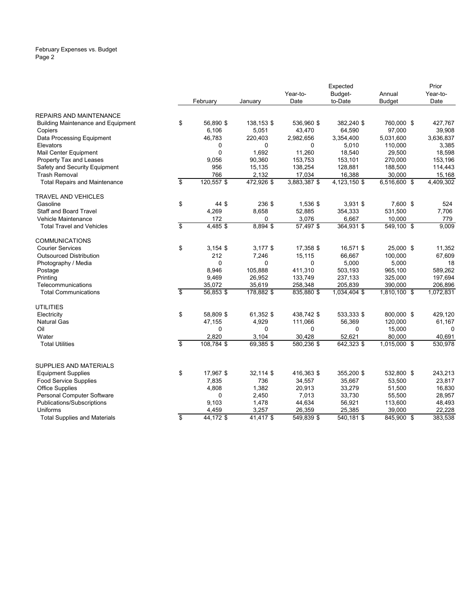#### February Expenses vs. Budget Page 2

|                                                      |                         |                |              |                 | Expected         |                  | Prior            |
|------------------------------------------------------|-------------------------|----------------|--------------|-----------------|------------------|------------------|------------------|
|                                                      |                         |                |              | Year-to-        | Budget-          | Annual           | Year-to-         |
|                                                      |                         | February       | January      | Date            | to-Date          | <b>Budget</b>    | Date             |
| <b>REPAIRS AND MAINTENANCE</b>                       |                         |                |              |                 |                  |                  |                  |
| <b>Building Maintenance and Equipment</b>            | \$                      | 56,890 \$      | 138,153 \$   | 536,960 \$      | 382,240 \$       | 760,000 \$       | 427,767          |
| Copiers                                              |                         | 6,106          | 5,051        | 43,470          | 64,590           | 97,000           | 39,908           |
| Data Processing Equipment                            |                         | 46,783         | 220,403      | 2,982,656       | 3,354,400        | 5,031,600        | 3,636,837        |
| Elevators                                            |                         | 0              | 0            | 0               | 5,010            | 110,000          | 3,385            |
| Mail Center Equipment                                |                         | $\Omega$       | 1,692        | 11,260          | 18,540           | 29,500           | 18,598           |
| Property Tax and Leases                              |                         | 9,056          | 90,360       | 153,753         | 153,101          | 270,000          | 153,196          |
| Safety and Security Equipment                        |                         | 956            | 15,135       | 138,254         | 128,881          | 188,500          | 114,443          |
| <b>Trash Removal</b>                                 |                         | 766            | 2,132        | 17,034          | 16,388           | 30,000           | 15,168           |
| <b>Total Repairs and Maintenance</b>                 | \$                      | 120,557 \$     | 472,926 \$   | 3,883,387 \$    | 4,123,150 \$     | 6,516,600 \$     | 4,409,302        |
| <b>TRAVEL AND VEHICLES</b>                           |                         |                |              |                 |                  |                  |                  |
| Gasoline                                             | \$                      | 44 \$          | 236 \$       | 1,536 \$        | 3,931 \$         | 7,600 \$         | 524              |
| <b>Staff and Board Travel</b>                        |                         | 4,269          | 8,658        | 52,885          | 354,333          | 531,500          | 7,706            |
| Vehicle Maintenance                                  |                         | 172            | 0            | 3,076           | 6,667            | 10,000           | 779              |
| <b>Total Travel and Vehicles</b>                     | \$                      | 4,485\$        | 8,894 \$     | 57,497 \$       | 364,931 \$       | 549,100 \$       | 9.009            |
| <b>COMMUNICATIONS</b>                                |                         |                |              |                 |                  |                  |                  |
| <b>Courier Services</b>                              | \$                      | $3,154$ \$     | $3,177$ \$   | 17,358 \$       | 16,571 \$        | 25,000 \$        | 11,352           |
| <b>Outsourced Distribution</b>                       |                         | 212            | 7,246        | 15,115          | 66,667           | 100,000          | 67,609           |
| Photography / Media                                  |                         | 0              | $\Omega$     | 0               | 5,000            | 5,000            | 18               |
| Postage                                              |                         | 8,946          | 105,888      | 411,310         | 503,193          | 965,100          | 589,262          |
| Printing                                             |                         | 9,469          | 26,952       | 133,749         | 237,133          | 325,000          | 197,694          |
| Telecommunications                                   |                         | 35,072         | 35,619       | 258,348         | 205,839          | 390,000          | 206,896          |
| <b>Total Communications</b>                          | \$                      | 56,853 \$      | 178,882 \$   | 835,880 \$      | 1,034,404 \$     | 1,810,100 \$     | 1,072,831        |
| <b>UTILITIES</b>                                     |                         |                |              |                 |                  |                  |                  |
| Electricity                                          | \$                      | 58,809 \$      | 61,352 \$    | 438,742 \$      | 533,333 \$       | 800,000 \$       | 429,120          |
| <b>Natural Gas</b>                                   |                         | 47,155         | 4,929        | 111,066         | 56,369           | 120,000          | 61,167           |
| Oil                                                  |                         | 0              | 0            | 0               | 0                | 15,000           | $\mathbf 0$      |
| Water                                                |                         | 2,820          | 3,104        | 30,428          | 52,621           | 80.000           | 40,691           |
| <b>Total Utilities</b>                               | $\overline{\mathbf{S}}$ | 108,784 \$     | 69,385 \$    | 580,236 \$      | 642,323 \$       | 1,015,000 \$     | 530,978          |
|                                                      |                         |                |              |                 |                  |                  |                  |
| SUPPLIES AND MATERIALS                               |                         |                |              |                 |                  |                  |                  |
| <b>Equipment Supplies</b>                            | \$                      | 17,967 \$      | 32,114 \$    | 416,363 \$      | 355,200 \$       | 532,800 \$       | 243,213          |
| <b>Food Service Supplies</b>                         |                         | 7,835<br>4,808 | 736<br>1,382 | 34,557          | 35,667           | 53,500           | 23,817           |
| <b>Office Supplies</b><br>Personal Computer Software |                         | 0              | 2,450        | 20,913<br>7,013 | 33,279<br>33,730 | 51,500<br>55,500 | 16,830<br>28,957 |
| Publications/Subscriptions                           |                         | 9,103          | 1,478        | 44,634          | 56,921           | 113,600          | 48,493           |
| Uniforms                                             |                         | 4,459          | 3,257        | 26,359          | 25,385           | 39,000           | 22,228           |
| <b>Total Supplies and Materials</b>                  | \$                      | 44,172 \$      | 41,417 \$    | 549,839 \$      | 540,181 \$       | 845,900 \$       | 383,538          |
|                                                      |                         |                |              |                 |                  |                  |                  |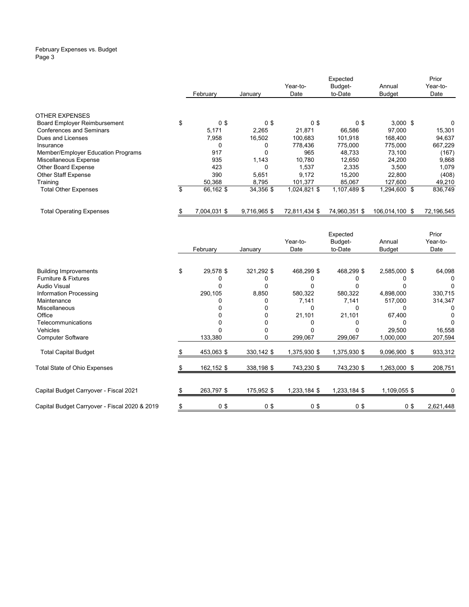#### February Expenses vs. Budget Page 3

|                                     |                 |                |               | Expected      |                | Prior      |
|-------------------------------------|-----------------|----------------|---------------|---------------|----------------|------------|
|                                     |                 |                | Year-to-      | Budget-       | Annual         | Year-to-   |
|                                     | February        | Januarv        | Date          | to-Date       | <b>Budget</b>  | Date       |
|                                     |                 |                |               |               |                |            |
| <b>OTHER EXPENSES</b>               |                 |                |               |               |                |            |
| <b>Board Employer Reimbursement</b> | \$<br>0\$       | 0 <sup>3</sup> | 0\$           | 0\$           | $3,000$ \$     | 0          |
| <b>Conferences and Seminars</b>     | 5,171           | 2,265          | 21,871        | 66,586        | 97,000         | 15,301     |
| Dues and Licenses                   | 7,958           | 16,502         | 100,683       | 101.918       | 168,400        | 94,637     |
| Insurance                           | 0               | 0              | 778.436       | 775,000       | 775,000        | 667,229    |
| Member/Employer Education Programs  | 917             | 0              | 965           | 48.733        | 73,100         | (167)      |
| Miscellaneous Expense               | 935             | 1,143          | 10.780        | 12.650        | 24.200         | 9,868      |
| Other Board Expense                 | 423             | 0              | 1.537         | 2.335         | 3,500          | 1,079      |
| <b>Other Staff Expense</b>          | 390             | 5,651          | 9,172         | 15,200        | 22.800         | (408)      |
| Training                            | 50,368          | 8,795          | 101,377       | 85,067        | 127,600        | 49,210     |
| <b>Total Other Expenses</b>         | \$<br>66,162 \$ | 34,356 \$      | 1,024,821 \$  | 1,107,489 \$  | 1,294,600 \$   | 836,749    |
| <b>Total Operating Expenses</b>     | 7,004,031 \$    | 9,716,965 \$   | 72,811,434 \$ | 74,960,351 \$ | 106,014,100 \$ | 72,196,545 |

|                                               |                 |            |              | Expected     |              | Prior     |
|-----------------------------------------------|-----------------|------------|--------------|--------------|--------------|-----------|
|                                               |                 |            | Year-to-     | Budget-      | Annual       | Year-to-  |
|                                               | February        | January    | Date         | to-Date      | Budget       | Date      |
|                                               |                 |            |              |              |              |           |
| <b>Building Improvements</b>                  | \$<br>29,578 \$ | 321,292 \$ | 468,299 \$   | 468,299 \$   | 2,585,000 \$ | 64,098    |
| <b>Furniture &amp; Fixtures</b>               |                 |            |              |              |              | 0         |
| <b>Audio Visual</b>                           |                 |            |              |              |              | 0         |
| Information Processing                        | 290,105         | 8,850      | 580,322      | 580,322      | 4,898,000    | 330,715   |
| Maintenance                                   |                 |            | 7,141        | 7,141        | 517,000      | 314,347   |
| Miscellaneous                                 |                 |            | 0            |              |              |           |
| Office                                        |                 |            | 21,101       | 21,101       | 67,400       |           |
| Telecommunications                            |                 |            |              |              |              |           |
| Vehicles                                      |                 |            |              |              | 29,500       | 16,558    |
| <b>Computer Software</b>                      | 133,380         | 0          | 299,067      | 299,067      | 1,000,000    | 207,594   |
| <b>Total Capital Budget</b>                   | 453,063 \$      | 330,142 \$ | 1,375,930 \$ | 1,375,930 \$ | 9,096,900 \$ | 933,312   |
| <b>Total State of Ohio Expenses</b>           | 162,152 \$      | 338,198 \$ | 743,230 \$   | 743,230 \$   | 1,263,000 \$ | 208,751   |
|                                               |                 |            |              |              |              |           |
| Capital Budget Carryover - Fiscal 2021        | 263,797 \$      | 175,952 \$ | 1,233,184 \$ | 1,233,184 \$ | 1,109,055 \$ |           |
| Capital Budget Carryover - Fiscal 2020 & 2019 | 0\$             | 0\$        | 0\$          | 0\$          | 0\$          | 2,621,448 |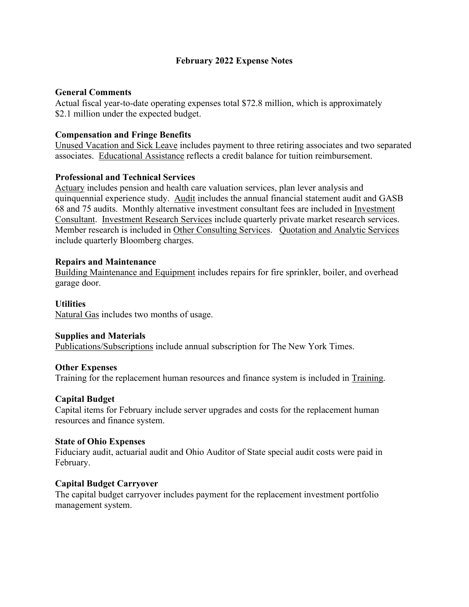# **February 2022 Expense Notes**

# **General Comments**

Actual fiscal year-to-date operating expenses total \$72.8 million, which is approximately \$2.1 million under the expected budget.

# **Compensation and Fringe Benefits**

Unused Vacation and Sick Leave includes payment to three retiring associates and two separated associates. Educational Assistance reflects a credit balance for tuition reimbursement.

# **Professional and Technical Services**

Actuary includes pension and health care valuation services, plan lever analysis and quinquennial experience study. Audit includes the annual financial statement audit and GASB 68 and 75 audits. Monthly alternative investment consultant fees are included in Investment Consultant. Investment Research Services include quarterly private market research services. Member research is included in Other Consulting Services. Quotation and Analytic Services include quarterly Bloomberg charges.

# **Repairs and Maintenance**

Building Maintenance and Equipment includes repairs for fire sprinkler, boiler, and overhead garage door.

# **Utilities**

Natural Gas includes two months of usage.

## **Supplies and Materials**

Publications/Subscriptions include annual subscription for The New York Times.

## **Other Expenses**

Training for the replacement human resources and finance system is included in Training.

## **Capital Budget**

Capital items for February include server upgrades and costs for the replacement human resources and finance system.

## **State of Ohio Expenses**

Fiduciary audit, actuarial audit and Ohio Auditor of State special audit costs were paid in February.

## **Capital Budget Carryover**

The capital budget carryover includes payment for the replacement investment portfolio management system.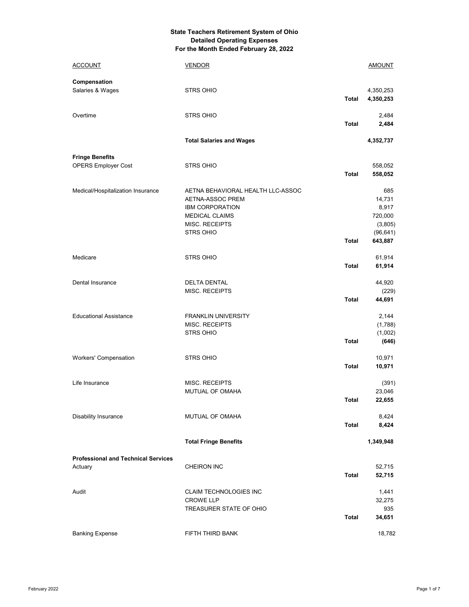#### **State Teachers Retirement System of Ohio Detailed Operating Expenses For the Month Ended February 28, 2022**

| <b>ACCOUNT</b>                                        | <b>VENDOR</b>                                                                                                                                  |              | <b>AMOUNT</b>                                                        |
|-------------------------------------------------------|------------------------------------------------------------------------------------------------------------------------------------------------|--------------|----------------------------------------------------------------------|
| Compensation<br>Salaries & Wages                      | <b>STRS OHIO</b>                                                                                                                               | Total        | 4,350,253<br>4,350,253                                               |
| Overtime                                              | <b>STRS OHIO</b>                                                                                                                               | <b>Total</b> | 2,484<br>2,484                                                       |
|                                                       | <b>Total Salaries and Wages</b>                                                                                                                |              | 4,352,737                                                            |
| <b>Fringe Benefits</b>                                |                                                                                                                                                |              |                                                                      |
| <b>OPERS Employer Cost</b>                            | <b>STRS OHIO</b>                                                                                                                               | <b>Total</b> | 558,052<br>558,052                                                   |
| Medical/Hospitalization Insurance                     | AETNA BEHAVIORAL HEALTH LLC-ASSOC<br>AETNA-ASSOC PREM<br><b>IBM CORPORATION</b><br><b>MEDICAL CLAIMS</b><br>MISC. RECEIPTS<br><b>STRS OHIO</b> | <b>Total</b> | 685<br>14,731<br>8,917<br>720,000<br>(3,805)<br>(96, 641)<br>643,887 |
| Medicare                                              | <b>STRS OHIO</b>                                                                                                                               | <b>Total</b> | 61,914<br>61,914                                                     |
| Dental Insurance                                      | <b>DELTA DENTAL</b><br>MISC. RECEIPTS                                                                                                          | <b>Total</b> | 44,920<br>(229)<br>44,691                                            |
| <b>Educational Assistance</b>                         | <b>FRANKLIN UNIVERSITY</b><br><b>MISC. RECEIPTS</b><br><b>STRS OHIO</b>                                                                        | <b>Total</b> | 2,144<br>(1,788)<br>(1,002)<br>(646)                                 |
| Workers' Compensation                                 | <b>STRS OHIO</b>                                                                                                                               | <b>Total</b> | 10,971<br>10,971                                                     |
| Life Insurance                                        | <b>MISC. RECEIPTS</b><br>MUTUAL OF OMAHA                                                                                                       | <b>Total</b> | (391)<br>23,046<br>22,655                                            |
| <b>Disability Insurance</b>                           | MUTUAL OF OMAHA                                                                                                                                | <b>Total</b> | 8,424<br>8,424                                                       |
|                                                       | <b>Total Fringe Benefits</b>                                                                                                                   |              | 1,349,948                                                            |
| <b>Professional and Technical Services</b><br>Actuary | <b>CHEIRON INC</b>                                                                                                                             | <b>Total</b> | 52,715<br>52,715                                                     |
| Audit                                                 | CLAIM TECHNOLOGIES INC<br><b>CROWE LLP</b><br>TREASURER STATE OF OHIO                                                                          | <b>Total</b> | 1,441<br>32,275<br>935<br>34,651                                     |
| <b>Banking Expense</b>                                | FIFTH THIRD BANK                                                                                                                               |              | 18,782                                                               |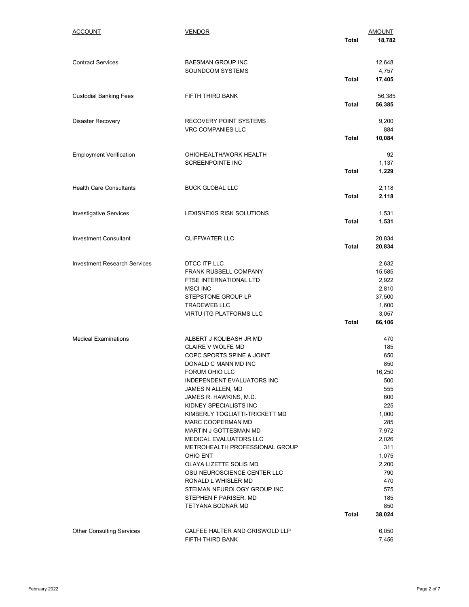| ACCOUNT                             | <b>VENDOR</b>                                              |              | AMOUNT          |
|-------------------------------------|------------------------------------------------------------|--------------|-----------------|
|                                     |                                                            | Total        | 18,782          |
| <b>Contract Services</b>            | <b>BAESMAN GROUP INC</b>                                   |              | 12,648          |
|                                     | <b>SOUNDCOM SYSTEMS</b>                                    |              | 4,757           |
|                                     |                                                            | <b>Total</b> | 17,405          |
| <b>Custodial Banking Fees</b>       | FIFTH THIRD BANK                                           |              | 56,385          |
|                                     |                                                            | <b>Total</b> | 56,385          |
| <b>Disaster Recovery</b>            | RECOVERY POINT SYSTEMS                                     |              | 9,200           |
|                                     | <b>VRC COMPANIES LLC</b>                                   | <b>Total</b> | 884<br>10,084   |
|                                     |                                                            |              |                 |
| <b>Employment Verification</b>      | OHIOHEALTH/WORK HEALTH                                     |              | 92              |
|                                     | <b>SCREENPOINTE INC</b>                                    | <b>Total</b> | 1,137<br>1,229  |
|                                     |                                                            |              |                 |
| <b>Health Care Consultants</b>      | <b>BUCK GLOBAL LLC</b>                                     |              | 2,118           |
|                                     |                                                            | <b>Total</b> | 2,118           |
| <b>Investigative Services</b>       | LEXISNEXIS RISK SOLUTIONS                                  |              | 1,531           |
|                                     |                                                            | <b>Total</b> | 1,531           |
| <b>Investment Consultant</b>        | <b>CLIFFWATER LLC</b>                                      |              | 20,834          |
|                                     |                                                            | <b>Total</b> | 20,834          |
| <b>Investment Research Services</b> | DTCC ITP LLC                                               |              | 2,632           |
|                                     | FRANK RUSSELL COMPANY                                      |              | 15,585          |
|                                     | FTSE INTERNATIONAL LTD                                     |              | 2,922           |
|                                     | <b>MSCI INC</b><br>STEPSTONE GROUP LP                      |              | 2,810<br>37,500 |
|                                     | <b>TRADEWEB LLC</b>                                        |              | 1,600           |
|                                     | <b>VIRTU ITG PLATFORMS LLC</b>                             |              | 3,057           |
|                                     |                                                            | Total        | 66,106          |
| <b>Medical Examinations</b>         | ALBERT J KOLIBASH JR MD                                    |              | 470             |
|                                     | <b>CLAIRE V WOLFE MD</b>                                   |              | 185             |
|                                     | COPC SPORTS SPINE & JOINT<br>DONALD C MANN MD INC          |              | 650<br>850      |
|                                     | FORUM OHIO LLC                                             |              | 16,250          |
|                                     | <b>INDEPENDENT EVALUATORS INC</b>                          |              | 500             |
|                                     | JAMES N ALLEN, MD                                          |              | 555             |
|                                     | JAMES R. HAWKINS, M.D.                                     |              | 600             |
|                                     | KIDNEY SPECIALISTS INC                                     |              | 225             |
|                                     | KIMBERLY TOGLIATTI-TRICKETT MD<br><b>MARC COOPERMAN MD</b> |              | 1,000<br>285    |
|                                     | MARTIN J GOTTESMAN MD                                      |              | 7,972           |
|                                     | MEDICAL EVALUATORS LLC                                     |              | 2,026           |
|                                     | METROHEALTH PROFESSIONAL GROUP                             |              | 311             |
|                                     | OHIO ENT                                                   |              | 1,075           |
|                                     | OLAYA LIZETTE SOLIS MD<br>OSU NEUROSCIENCE CENTER LLC      |              | 2,200<br>790    |
|                                     | RONALD L WHISLER MD                                        |              | 470             |
|                                     | STEIMAN NEUROLOGY GROUP INC                                |              | 575             |
|                                     | STEPHEN F PARISER, MD                                      |              | 185             |
|                                     | TETYANA BODNAR MD                                          |              | 850             |
|                                     |                                                            | Total        | 38,024          |
| <b>Other Consulting Services</b>    | CALFEE HALTER AND GRISWOLD LLP                             |              | 6,050           |
|                                     | FIFTH THIRD BANK                                           |              | 7,456           |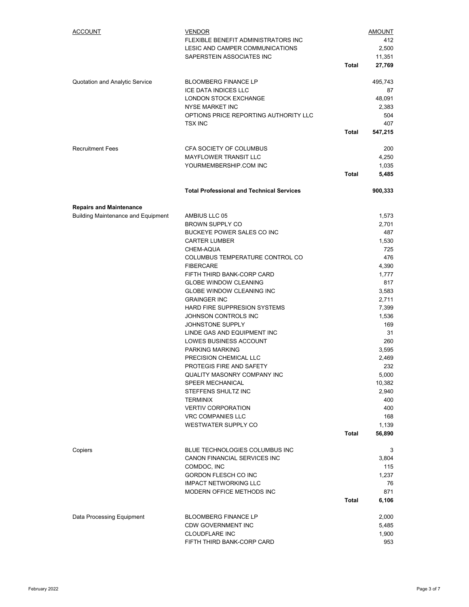| <b>ACCOUNT</b>                            | <b>VENDOR</b>                                           |              | <u>AMOUNT</u>   |
|-------------------------------------------|---------------------------------------------------------|--------------|-----------------|
|                                           | FLEXIBLE BENEFIT ADMINISTRATORS INC                     |              | 412             |
|                                           | LESIC AND CAMPER COMMUNICATIONS                         |              | 2,500           |
|                                           | SAPERSTEIN ASSOCIATES INC                               |              | 11,351          |
|                                           |                                                         | Total        | 27,769          |
| Quotation and Analytic Service            | <b>BLOOMBERG FINANCE LP</b>                             |              | 495,743         |
|                                           | ICE DATA INDICES LLC                                    |              | 87              |
|                                           | LONDON STOCK EXCHANGE                                   |              | 48,091          |
|                                           | <b>NYSE MARKET INC</b>                                  |              | 2,383           |
|                                           | OPTIONS PRICE REPORTING AUTHORITY LLC<br><b>TSX INC</b> |              | 504<br>407      |
|                                           |                                                         | Total        | 547,215         |
|                                           |                                                         |              |                 |
| <b>Recruitment Fees</b>                   | CFA SOCIETY OF COLUMBUS                                 |              | 200             |
|                                           | <b>MAYFLOWER TRANSIT LLC</b>                            |              | 4,250           |
|                                           | YOURMEMBERSHIP.COM INC                                  |              | 1,035           |
|                                           |                                                         | <b>Total</b> | 5,485           |
|                                           | <b>Total Professional and Technical Services</b>        |              | 900,333         |
| <b>Repairs and Maintenance</b>            |                                                         |              |                 |
| <b>Building Maintenance and Equipment</b> | AMBIUS LLC 05                                           |              | 1,573           |
|                                           | <b>BROWN SUPPLY CO</b>                                  |              | 2,701           |
|                                           | BUCKEYE POWER SALES CO INC                              |              | 487             |
|                                           | <b>CARTER LUMBER</b>                                    |              | 1,530           |
|                                           | CHEM-AQUA                                               |              | 725             |
|                                           | COLUMBUS TEMPERATURE CONTROL CO                         |              | 476             |
|                                           | <b>FIBERCARE</b><br>FIFTH THIRD BANK-CORP CARD          |              | 4,390<br>1,777  |
|                                           | <b>GLOBE WINDOW CLEANING</b>                            |              | 817             |
|                                           | <b>GLOBE WINDOW CLEANING INC</b>                        |              | 3,583           |
|                                           | <b>GRAINGER INC</b>                                     |              | 2,711           |
|                                           | HARD FIRE SUPPRESION SYSTEMS                            |              | 7,399           |
|                                           | JOHNSON CONTROLS INC                                    |              | 1,536           |
|                                           | JOHNSTONE SUPPLY                                        |              | 169             |
|                                           | LINDE GAS AND EQUIPMENT INC                             |              | 31              |
|                                           | LOWES BUSINESS ACCOUNT                                  |              | 260             |
|                                           | PARKING MARKING                                         |              | 3,595           |
|                                           | PRECISION CHEMICAL LLC                                  |              | 2,469           |
|                                           | PROTEGIS FIRE AND SAFETY                                |              | 232             |
|                                           | <b>QUALITY MASONRY COMPANY INC</b><br>SPEER MECHANICAL  |              | 5,000<br>10,382 |
|                                           | STEFFENS SHULTZ INC                                     |              | 2,940           |
|                                           | <b>TERMINIX</b>                                         |              | 400             |
|                                           | <b>VERTIV CORPORATION</b>                               |              | 400             |
|                                           | <b>VRC COMPANIES LLC</b>                                |              | 168             |
|                                           | <b>WESTWATER SUPPLY CO</b>                              |              | 1,139           |
|                                           |                                                         | <b>Total</b> | 56,890          |
| Copiers                                   | BLUE TECHNOLOGIES COLUMBUS INC                          |              | 3               |
|                                           | CANON FINANCIAL SERVICES INC                            |              | 3,804           |
|                                           | COMDOC, INC                                             |              | 115             |
|                                           | GORDON FLESCH CO INC                                    |              | 1,237           |
|                                           | <b>IMPACT NETWORKING LLC</b>                            |              | 76              |
|                                           | MODERN OFFICE METHODS INC                               |              | 871             |
|                                           |                                                         | <b>Total</b> | 6,106           |
| Data Processing Equipment                 | <b>BLOOMBERG FINANCE LP</b>                             |              | 2,000           |
|                                           | CDW GOVERNMENT INC                                      |              | 5,485           |
|                                           | <b>CLOUDFLARE INC</b>                                   |              | 1,900           |
|                                           | FIFTH THIRD BANK-CORP CARD                              |              | 953             |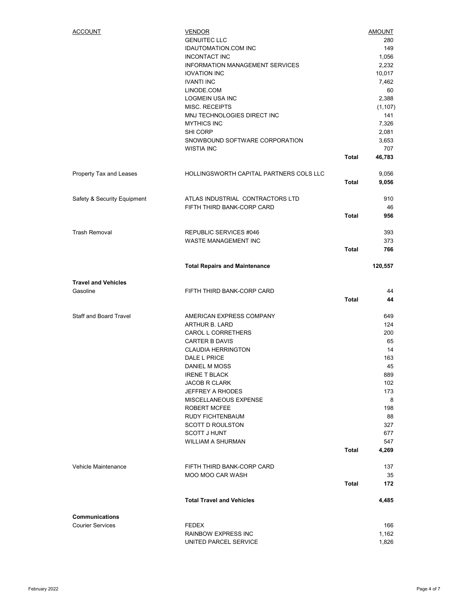| <b>ACCOUNT</b>                | <b>VENDOR</b>                                                  |              | <b>AMOUNT</b>              |
|-------------------------------|----------------------------------------------------------------|--------------|----------------------------|
|                               | <b>GENUITEC LLC</b>                                            |              | 280                        |
|                               | <b>IDAUTOMATION.COM INC</b>                                    |              | 149                        |
|                               | <b>INCONTACT INC</b>                                           |              | 1,056                      |
|                               | <b>INFORMATION MANAGEMENT SERVICES</b>                         |              | 2,232                      |
|                               | <b>IOVATION INC</b>                                            |              | 10,017                     |
|                               | <b>IVANTI INC</b>                                              |              | 7,462                      |
|                               | LINODE.COM                                                     |              | 60                         |
|                               | <b>LOGMEIN USA INC</b>                                         |              | 2,388                      |
|                               | MISC. RECEIPTS                                                 |              | (1, 107)                   |
|                               | MNJ TECHNOLOGIES DIRECT INC                                    |              | 141                        |
|                               | <b>MYTHICS INC</b>                                             |              | 7,326                      |
|                               | SHI CORP                                                       |              | 2,081                      |
|                               | SNOWBOUND SOFTWARE CORPORATION                                 |              | 3,653                      |
|                               | <b>WISTIA INC</b>                                              |              | 707                        |
|                               |                                                                | Total        | 46,783                     |
| Property Tax and Leases       | HOLLINGSWORTH CAPITAL PARTNERS COLS LLC                        |              | 9,056                      |
|                               |                                                                | <b>Total</b> | 9,056                      |
|                               |                                                                |              |                            |
| Safety & Security Equipment   | ATLAS INDUSTRIAL CONTRACTORS LTD<br>FIFTH THIRD BANK-CORP CARD |              | 910<br>46                  |
|                               |                                                                | <b>Total</b> | 956                        |
|                               |                                                                |              |                            |
| <b>Trash Removal</b>          | REPUBLIC SERVICES #046                                         |              | 393                        |
|                               | WASTE MANAGEMENT INC                                           |              | 373                        |
|                               |                                                                | <b>Total</b> | 766                        |
|                               | <b>Total Repairs and Maintenance</b>                           |              | 120,557                    |
|                               |                                                                |              |                            |
| <b>Travel and Vehicles</b>    |                                                                |              |                            |
|                               | FIFTH THIRD BANK-CORP CARD                                     |              | 44                         |
| Gasoline                      |                                                                |              |                            |
|                               |                                                                | <b>Total</b> | 44                         |
| <b>Staff and Board Travel</b> | AMERICAN EXPRESS COMPANY                                       |              | 649                        |
|                               | ARTHUR B. LARD                                                 |              | 124                        |
|                               | <b>CAROL L CORRETHERS</b>                                      |              | 200                        |
|                               | <b>CARTER B DAVIS</b>                                          |              | 65                         |
|                               | <b>CLAUDIA HERRINGTON</b>                                      |              | 14                         |
|                               | DALE L PRICE                                                   |              | 163                        |
|                               | DANIEL M MOSS                                                  |              | 45                         |
|                               | <b>IRENE T BLACK</b>                                           |              |                            |
|                               | <b>JACOB R CLARK</b>                                           |              |                            |
|                               | <b>JEFFREY A RHODES</b>                                        |              |                            |
|                               | MISCELLANEOUS EXPENSE                                          |              | 889<br>102<br>173<br>8     |
|                               | <b>ROBERT MCFEE</b>                                            |              | 198                        |
|                               | <b>RUDY FICHTENBAUM</b>                                        |              | 88                         |
|                               | <b>SCOTT D ROULSTON</b>                                        |              |                            |
|                               | <b>SCOTT J HUNT</b>                                            |              |                            |
|                               | WILLIAM A SHURMAN                                              |              |                            |
|                               |                                                                | Total        | 327<br>677<br>547<br>4,269 |
|                               |                                                                |              |                            |
| Vehicle Maintenance           | FIFTH THIRD BANK-CORP CARD                                     |              | 137                        |
|                               | MOO MOO CAR WASH                                               | <b>Total</b> | 35<br>172                  |
|                               |                                                                |              |                            |
|                               | <b>Total Travel and Vehicles</b>                               |              | 4,485                      |
| <b>Communications</b>         |                                                                |              |                            |
| <b>Courier Services</b>       | <b>FEDEX</b>                                                   |              | 166                        |
|                               | RAINBOW EXPRESS INC                                            |              | 1,162                      |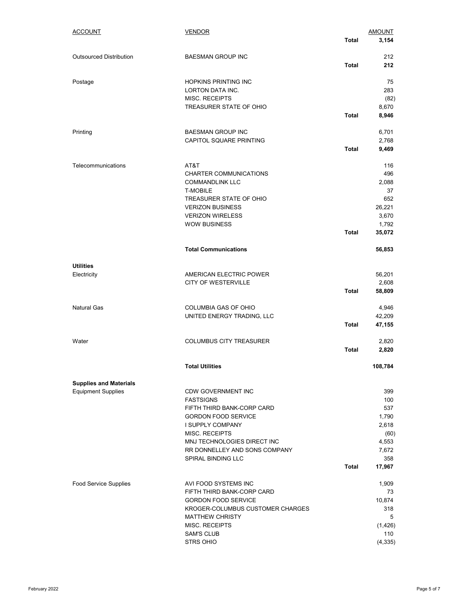| <b>ACCOUNT</b>                                             | <b>VENDOR</b>                                              |              | <b>AMOUNT</b>   |
|------------------------------------------------------------|------------------------------------------------------------|--------------|-----------------|
|                                                            |                                                            | <b>Total</b> | 3,154           |
| <b>Outsourced Distribution</b>                             | <b>BAESMAN GROUP INC</b>                                   |              | 212             |
|                                                            |                                                            | <b>Total</b> | 212             |
| Postage                                                    | <b>HOPKINS PRINTING INC</b>                                |              | 75              |
|                                                            | LORTON DATA INC.                                           |              | 283             |
|                                                            | <b>MISC. RECEIPTS</b>                                      |              | (82)            |
|                                                            | TREASURER STATE OF OHIO                                    | Total        | 8,670<br>8,946  |
|                                                            |                                                            |              |                 |
| Printing                                                   | <b>BAESMAN GROUP INC</b>                                   |              | 6,701           |
|                                                            | CAPITOL SQUARE PRINTING                                    |              | 2,768           |
|                                                            |                                                            | <b>Total</b> | 9,469           |
| Telecommunications                                         | AT&T                                                       |              | 116             |
|                                                            | CHARTER COMMUNICATIONS                                     |              | 496             |
|                                                            | <b>COMMANDLINK LLC</b>                                     |              | 2,088           |
|                                                            | <b>T-MOBILE</b>                                            |              | 37              |
|                                                            | TREASURER STATE OF OHIO                                    |              | 652             |
|                                                            | <b>VERIZON BUSINESS</b><br><b>VERIZON WIRELESS</b>         |              | 26,221<br>3,670 |
|                                                            | <b>WOW BUSINESS</b>                                        |              | 1,792           |
|                                                            |                                                            | <b>Total</b> | 35,072          |
|                                                            |                                                            |              |                 |
|                                                            | <b>Total Communications</b>                                |              | 56,853          |
| <b>Utilities</b>                                           |                                                            |              |                 |
| Electricity                                                | AMERICAN ELECTRIC POWER                                    |              | 56,201          |
|                                                            | CITY OF WESTERVILLE                                        | <b>Total</b> | 2,608<br>58,809 |
|                                                            |                                                            |              |                 |
| <b>Natural Gas</b>                                         | COLUMBIA GAS OF OHIO                                       |              | 4,946           |
|                                                            | UNITED ENERGY TRADING, LLC                                 |              | 42,209          |
|                                                            |                                                            | Total        | 47,155          |
| Water                                                      | <b>COLUMBUS CITY TREASURER</b>                             |              | 2,820           |
|                                                            |                                                            | <b>Total</b> | 2,820           |
|                                                            | <b>Total Utilities</b>                                     |              | 108,784         |
|                                                            |                                                            |              |                 |
| <b>Supplies and Materials</b><br><b>Equipment Supplies</b> | <b>CDW GOVERNMENT INC</b>                                  |              | 399             |
|                                                            | <b>FASTSIGNS</b>                                           |              | 100             |
|                                                            | FIFTH THIRD BANK-CORP CARD                                 |              | 537             |
|                                                            | <b>GORDON FOOD SERVICE</b>                                 |              | 1,790           |
|                                                            | <b>I SUPPLY COMPANY</b>                                    |              | 2.618           |
|                                                            | <b>MISC. RECEIPTS</b>                                      |              | (60)            |
|                                                            | MNJ TECHNOLOGIES DIRECT INC                                |              | 4,553           |
|                                                            | RR DONNELLEY AND SONS COMPANY<br><b>SPIRAL BINDING LLC</b> |              | 7,672           |
|                                                            |                                                            | Total        | 358<br>17,967   |
|                                                            |                                                            |              |                 |
| <b>Food Service Supplies</b>                               | AVI FOOD SYSTEMS INC<br>FIFTH THIRD BANK-CORP CARD         |              | 1,909<br>73     |
|                                                            | <b>GORDON FOOD SERVICE</b>                                 |              | 10,874          |
|                                                            | KROGER-COLUMBUS CUSTOMER CHARGES                           |              | 318             |
|                                                            | <b>MATTHEW CHRISTY</b>                                     |              | 5               |
|                                                            | <b>MISC. RECEIPTS</b>                                      |              | (1,426)         |
|                                                            | <b>SAM'S CLUB</b>                                          |              | 110             |
|                                                            | <b>STRS OHIO</b>                                           |              | (4, 335)        |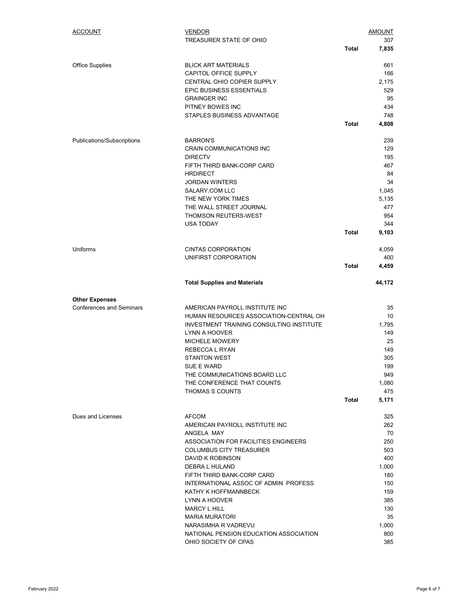| <b>ACCOUNT</b>                  | <b>VENDOR</b><br>TREASURER STATE OF OHIO        | <b>Total</b> | AMOUNT<br>307<br>7,835 |
|---------------------------------|-------------------------------------------------|--------------|------------------------|
|                                 |                                                 |              |                        |
| <b>Office Supplies</b>          | <b>BLICK ART MATERIALS</b>                      |              | 661                    |
|                                 | CAPITOL OFFICE SUPPLY                           |              | 166                    |
|                                 | CENTRAL OHIO COPIER SUPPLY                      |              | 2,175                  |
|                                 | EPIC BUSINESS ESSENTIALS                        |              | 529                    |
|                                 | <b>GRAINGER INC</b>                             |              | 95                     |
|                                 | PITNEY BOWES INC                                |              | 434                    |
|                                 | STAPLES BUSINESS ADVANTAGE                      |              | 748                    |
|                                 |                                                 | Total        | 4,808                  |
| Publications/Subscriptions      | <b>BARRON'S</b>                                 |              | 239                    |
|                                 | CRAIN COMMUNICATIONS INC                        |              | 129                    |
|                                 | <b>DIRECTV</b>                                  |              | 195                    |
|                                 | FIFTH THIRD BANK-CORP CARD                      |              | 467                    |
|                                 | <b>HRDIRECT</b>                                 |              | 84                     |
|                                 | <b>JORDAN WINTERS</b>                           |              | 34                     |
|                                 | SALARY.COM LLC                                  |              | 1,045                  |
|                                 | THE NEW YORK TIMES                              |              | 5,135                  |
|                                 | THE WALL STREET JOURNAL                         |              | 477                    |
|                                 | <b>THOMSON REUTERS-WEST</b>                     |              | 954                    |
|                                 | <b>USA TODAY</b>                                |              | 344                    |
|                                 |                                                 | Total        | 9,103                  |
| Uniforms                        | <b>CINTAS CORPORATION</b>                       |              | 4,059                  |
|                                 | UNIFIRST CORPORATION                            |              | 400                    |
|                                 |                                                 | <b>Total</b> | 4,459                  |
|                                 | <b>Total Supplies and Materials</b>             |              | 44,172                 |
| <b>Other Expenses</b>           |                                                 |              |                        |
| <b>Conferences and Seminars</b> | AMERICAN PAYROLL INSTITUTE INC                  |              | 35                     |
|                                 | HUMAN RESOURCES ASSOCIATION-CENTRAL OH          |              | 10                     |
|                                 | <b>INVESTMENT TRAINING CONSULTING INSTITUTE</b> |              | 1.795                  |
|                                 | LYNN A HOOVER                                   |              | 149                    |
|                                 | MICHELE MOWERY                                  |              | 25                     |
|                                 | REBECCA L RYAN                                  |              | 149                    |
|                                 | <b>STANTON WEST</b>                             |              | 305                    |
|                                 | SUE E WARD                                      |              | 199                    |
|                                 | THE COMMUNICATIONS BOARD LLC                    |              | 949                    |
|                                 | THE CONFERENCE THAT COUNTS                      |              | 1,080                  |
|                                 | THOMAS S COUNTS                                 |              | 475                    |
|                                 |                                                 | Total        | 5,171                  |
| Dues and Licenses               | <b>AFCOM</b>                                    |              | 325                    |
|                                 | AMERICAN PAYROLL INSTITUTE INC                  |              | 262                    |
|                                 | ANGELA MAY                                      |              | 70                     |
|                                 | ASSOCIATION FOR FACILITIES ENGINEERS            |              | 250                    |
|                                 | <b>COLUMBUS CITY TREASURER</b>                  |              | 503                    |
|                                 | <b>DAVID K ROBINSON</b>                         |              | 400                    |
|                                 | DEBRA L HULAND                                  |              | 1,000                  |
|                                 | FIFTH THIRD BANK-CORP CARD                      |              | 180                    |
|                                 | INTERNATIONAL ASSOC OF ADMIN PROFESS            |              | 150                    |
|                                 | KATHY K HOFFMANNBECK                            |              | 159                    |
|                                 | LYNN A HOOVER                                   |              | 385                    |
|                                 | <b>MARCY L HILL</b>                             |              | 130                    |
|                                 | <b>MARIA MURATORI</b>                           |              | 35                     |
|                                 | NARASIMHA R VADREVU                             |              | 1,000                  |
|                                 | NATIONAL PENSION EDUCATION ASSOCIATION          |              | 800                    |
|                                 | OHIO SOCIETY OF CPAS                            |              | 385                    |